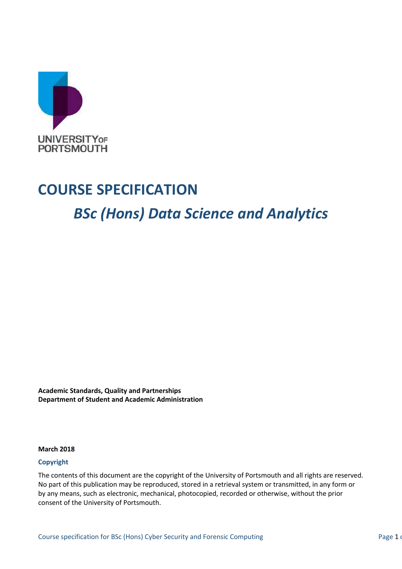

## **COURSE SPECIFICATION**

# *BSc (Hons) Data Science and Analytics*

**Academic Standards, Quality and Partnerships Department of Student and Academic Administration**

**March 2018**

#### **Copyright**

The contents of this document are the copyright of the University of Portsmouth and all rights are reserved. No part of this publication may be reproduced, stored in a retrieval system or transmitted, in any form or by any means, such as electronic, mechanical, photocopied, recorded or otherwise, without the prior consent of the University of Portsmouth.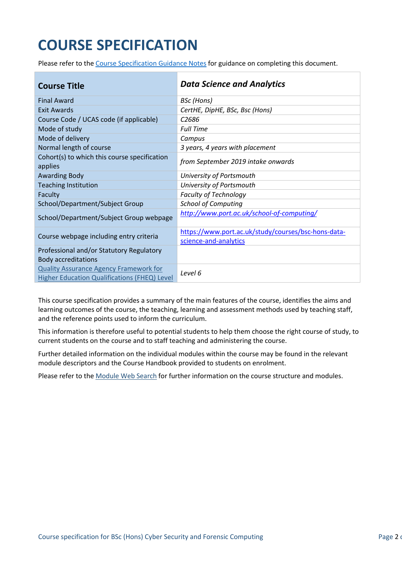# **COURSE SPECIFICATION**

Please refer to the [Course Specification Guidance Notes](http://www.port.ac.uk/departments/services/academicregistry/qmd/curriculum-framework-2019-20/filetodownload,201767,en.docx) for guidance on completing this document.

| <b>Course Title</b>                                                                                  | <b>Data Science and Analytics</b>                   |
|------------------------------------------------------------------------------------------------------|-----------------------------------------------------|
| <b>Final Award</b>                                                                                   | <b>BSc</b> (Hons)                                   |
| <b>Exit Awards</b>                                                                                   | CertHE, DipHE, BSc, Bsc (Hons)                      |
| Course Code / UCAS code (if applicable)                                                              | C <sub>2686</sub>                                   |
| Mode of study                                                                                        | <b>Full Time</b>                                    |
| Mode of delivery                                                                                     | Campus                                              |
| Normal length of course                                                                              | 3 years, 4 years with placement                     |
| Cohort(s) to which this course specification<br>applies                                              | from September 2019 intake onwards                  |
| <b>Awarding Body</b>                                                                                 | University of Portsmouth                            |
| <b>Teaching Institution</b>                                                                          | University of Portsmouth                            |
| Faculty                                                                                              | <b>Faculty of Technology</b>                        |
| School/Department/Subject Group                                                                      | <b>School of Computing</b>                          |
| School/Department/Subject Group webpage                                                              | http://www.port.ac.uk/school-of-computing/          |
| Course webpage including entry criteria                                                              | https://www.port.ac.uk/study/courses/bsc-hons-data- |
|                                                                                                      | science-and-analytics                               |
| Professional and/or Statutory Regulatory                                                             |                                                     |
| <b>Body accreditations</b>                                                                           |                                                     |
| <b>Quality Assurance Agency Framework for</b><br><b>Higher Education Qualifications (FHEQ) Level</b> | Level 6                                             |

This course specification provides a summary of the main features of the course, identifies the aims and learning outcomes of the course, the teaching, learning and assessment methods used by teaching staff, and the reference points used to inform the curriculum.

This information is therefore useful to potential students to help them choose the right course of study, to current students on the course and to staff teaching and administering the course.

Further detailed information on the individual modules within the course may be found in the relevant module descriptors and the Course Handbook provided to students on enrolment.

Please refer to the [Module Web Search](https://register.port.ac.uk/ords/f?p=111:1:0:::::) for further information on the course structure and modules.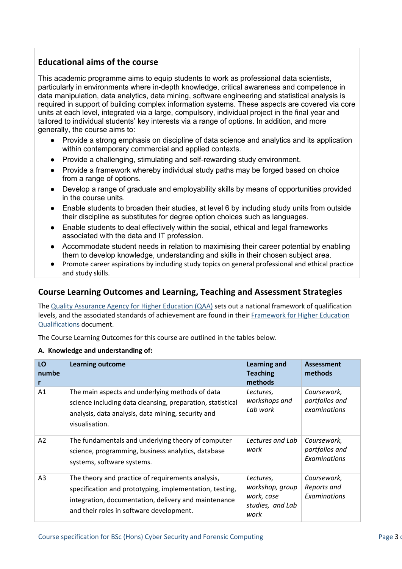## **Educational aims of the course**

This academic programme aims to equip students to work as professional data scientists, particularly in environments where in-depth knowledge, critical awareness and competence in data manipulation, data analytics, data mining, software engineering and statistical analysis is required in support of building complex information systems. These aspects are covered via core units at each level, integrated via a large, compulsory, individual project in the final year and tailored to individual students' key interests via a range of options. In addition, and more generally, the course aims to:

- Provide a strong emphasis on discipline of data science and analytics and its application within contemporary commercial and applied contexts.
- Provide a challenging, stimulating and self-rewarding study environment.
- Provide a framework whereby individual study paths may be forged based on choice from a range of options.
- Develop a range of graduate and employability skills by means of opportunities provided in the course units.
- Enable students to broaden their studies, at level 6 by including study units from outside their discipline as substitutes for degree option choices such as languages.
- Enable students to deal effectively within the social, ethical and legal frameworks associated with the data and IT profession.
- Accommodate student needs in relation to maximising their career potential by enabling them to develop knowledge, understanding and skills in their chosen subject area.
- Promote career aspirations by including study topics on general professional and ethical practice and study skills.

## **Course Learning Outcomes and Learning, Teaching and Assessment Strategies**

The [Quality Assurance Agency for Higher Education \(QAA\)](http://www.qaa.ac.uk/en) sets out a national framework of qualification levels, and the associated standards of achievement are found in their [Framework for Higher Education](http://www.qaa.ac.uk/en/Publications/Documents/qualifications-frameworks.pdf)  [Qualifications](http://www.qaa.ac.uk/en/Publications/Documents/qualifications-frameworks.pdf) document.

The Course Learning Outcomes for this course are outlined in the tables below.

#### **A. Knowledge and understanding of:**

| LO<br>numbe<br>r | <b>Learning outcome</b>                                                                                                                                                                                          | <b>Learning and</b><br><b>Teaching</b><br>methods                      | <b>Assessment</b><br>methods                  |
|------------------|------------------------------------------------------------------------------------------------------------------------------------------------------------------------------------------------------------------|------------------------------------------------------------------------|-----------------------------------------------|
| A <sub>1</sub>   | The main aspects and underlying methods of data<br>science including data cleansing, preparation, statistical<br>analysis, data analysis, data mining, security and<br>visualisation.                            | Lectures,<br>workshops and<br>Lab work                                 | Coursework,<br>portfolios and<br>examinations |
| A2               | The fundamentals and underlying theory of computer<br>science, programming, business analytics, database<br>systems, software systems.                                                                           | Lectures and Lab<br>work                                               | Coursework,<br>portfolios and<br>Examinations |
| A <sub>3</sub>   | The theory and practice of requirements analysis,<br>specification and prototyping, implementation, testing,<br>integration, documentation, delivery and maintenance<br>and their roles in software development. | Lectures,<br>workshop, group<br>work, case<br>studies, and Lab<br>work | Coursework,<br>Reports and<br>Examinations    |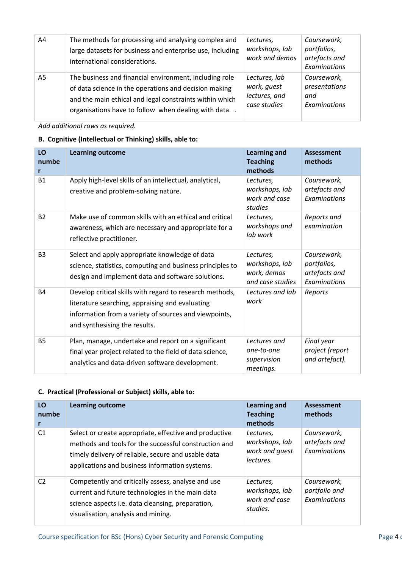| A4             | The methods for processing and analysing complex and<br>large datasets for business and enterprise use, including<br>international considerations. | Lectures,<br>workshops, lab<br>work and demos | Coursework,<br>portfolios,<br>artefacts and<br>Examinations |
|----------------|----------------------------------------------------------------------------------------------------------------------------------------------------|-----------------------------------------------|-------------------------------------------------------------|
| A <sub>5</sub> | The business and financial environment, including role                                                                                             | Lectures, lab                                 | Coursework,                                                 |
|                | of data science in the operations and decision making                                                                                              | work, quest                                   | presentations                                               |
|                | and the main ethical and legal constraints within which                                                                                            | lectures, and                                 | and                                                         |
|                | organisations have to follow when dealing with data                                                                                                | case studies                                  | Examinations                                                |

*Add additional rows as required.*

#### **B. Cognitive (Intellectual or Thinking) skills, able to:**

| LO<br>numbe<br>r | <b>Learning outcome</b>                                                                                                                                                                               | <b>Learning and</b><br><b>Teaching</b><br>methods              | <b>Assessment</b><br>methods                                |
|------------------|-------------------------------------------------------------------------------------------------------------------------------------------------------------------------------------------------------|----------------------------------------------------------------|-------------------------------------------------------------|
| <b>B1</b>        | Apply high-level skills of an intellectual, analytical,<br>creative and problem-solving nature.                                                                                                       | Lectures,<br>workshops, lab<br>work and case<br>studies        | Coursework,<br>artefacts and<br>Examinations                |
| <b>B2</b>        | Make use of common skills with an ethical and critical<br>awareness, which are necessary and appropriate for a<br>reflective practitioner.                                                            | Lectures,<br>workshops and<br>lab work                         | Reports and<br>examination                                  |
| B <sub>3</sub>   | Select and apply appropriate knowledge of data<br>science, statistics, computing and business principles to<br>design and implement data and software solutions.                                      | Lectures,<br>workshops, lab<br>work, demos<br>and case studies | Coursework,<br>portfolios,<br>artefacts and<br>Examinations |
| <b>B4</b>        | Develop critical skills with regard to research methods,<br>literature searching, appraising and evaluating<br>information from a variety of sources and viewpoints,<br>and synthesising the results. | Lectures and lab<br>work                                       | Reports                                                     |
| <b>B5</b>        | Plan, manage, undertake and report on a significant<br>final year project related to the field of data science,<br>analytics and data-driven software development.                                    | Lectures and<br>one-to-one<br>supervision<br>meetings.         | Final year<br>project (report<br>and artefact).             |

## **C. Practical (Professional or Subject) skills, able to:**

| LO<br>numbe    | <b>Learning outcome</b>                                                                                                                                                                                                  | <b>Learning and</b><br><b>Teaching</b><br>methods          | Assessment<br>methods                               |
|----------------|--------------------------------------------------------------------------------------------------------------------------------------------------------------------------------------------------------------------------|------------------------------------------------------------|-----------------------------------------------------|
| C <sub>1</sub> | Select or create appropriate, effective and productive<br>methods and tools for the successful construction and<br>timely delivery of reliable, secure and usable data<br>applications and business information systems. | Lectures,<br>workshops, lab<br>work and quest<br>lectures. | Coursework,<br>artefacts and<br><b>Examinations</b> |
| C <sub>2</sub> | Competently and critically assess, analyse and use<br>current and future technologies in the main data<br>science aspects i.e. data cleansing, preparation,<br>visualisation, analysis and mining.                       | Lectures,<br>workshops, lab<br>work and case<br>studies.   | Coursework.<br>portfolio and<br><b>Examinations</b> |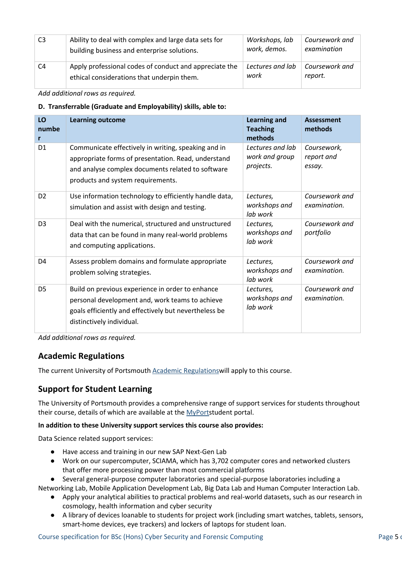| C <sub>3</sub> | Ability to deal with complex and large data sets for   | Workshops, lab   | Coursework and |
|----------------|--------------------------------------------------------|------------------|----------------|
|                | building business and enterprise solutions.            | work, demos.     | examination    |
| C4             | Apply professional codes of conduct and appreciate the | Lectures and lab | Coursework and |
|                | ethical considerations that underpin them.             | work             | report.        |

*Add additional rows as required.*

#### **D. Transferrable (Graduate and Employability) skills, able to:**

| LO<br>numbe<br>r | <b>Learning outcome</b>                                                                                                                                                                              | <b>Learning and</b><br><b>Teaching</b><br>methods | <b>Assessment</b><br>methods        |
|------------------|------------------------------------------------------------------------------------------------------------------------------------------------------------------------------------------------------|---------------------------------------------------|-------------------------------------|
| D <sub>1</sub>   | Communicate effectively in writing, speaking and in<br>appropriate forms of presentation. Read, understand<br>and analyse complex documents related to software<br>products and system requirements. | Lectures and lab<br>work and group<br>projects.   | Coursework,<br>report and<br>essay. |
| D <sub>2</sub>   | Use information technology to efficiently handle data,<br>simulation and assist with design and testing.                                                                                             | Lectures,<br>workshops and<br>lab work            | Coursework and<br>examination.      |
| D <sub>3</sub>   | Deal with the numerical, structured and unstructured<br>data that can be found in many real-world problems<br>and computing applications.                                                            | Lectures,<br>workshops and<br>lab work            | Coursework and<br>portfolio         |
| D <sub>4</sub>   | Assess problem domains and formulate appropriate<br>problem solving strategies.                                                                                                                      | Lectures,<br>workshops and<br>lab work            | Coursework and<br>examination.      |
| D <sub>5</sub>   | Build on previous experience in order to enhance<br>personal development and, work teams to achieve<br>goals efficiently and effectively but nevertheless be<br>distinctively individual.            | Lectures,<br>workshops and<br>lah work            | Coursework and<br>examination.      |

*Add additional rows as required.*

## **Academic Regulations**

The current University of Portsmouth [Academic Regulationsw](http://www.port.ac.uk/departments/services/academicregistry/qmd/assessmentandregulations/)ill apply to this course.

## **Support for Student Learning**

The University of Portsmouth provides a comprehensive range of support services for students throughout their course, details of which are available at the [MyPorts](http://myport.ac.uk/)tudent portal.

#### **In addition to these University support services this course also provides:**

Data Science related support services:

- Have access and training in our new SAP Next-Gen Lab
- Work on our supercomputer, SCIAMA, which has 3,702 computer cores and networked clusters that offer more processing power than most commercial platforms
- Several general-purpose computer laboratories and special-purpose laboratories including a

Networking Lab, Mobile Application Development Lab, Big Data Lab and Human Computer Interaction Lab.

- Apply your analytical abilities to practical problems and real-world datasets, such as our research in cosmology, health information and cyber security
- A library of devices loanable to students for project work (including smart watches, tablets, sensors, smart-home devices, eye trackers) and lockers of laptops for student loan.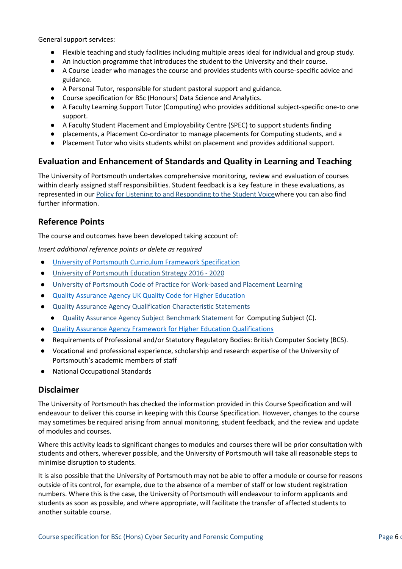General support services:

- Flexible teaching and study facilities including multiple areas ideal for individual and group study.
- An induction programme that introduces the student to the University and their course.
- A Course Leader who manages the course and provides students with course-specific advice and guidance.
- A Personal Tutor, responsible for student pastoral support and guidance.
- Course specification for BSc (Honours) Data Science and Analytics.
- A Faculty Learning Support Tutor (Computing) who provides additional subject-specific one-to one support.
- A Faculty Student Placement and Employability Centre (SPEC) to support students finding
- placements, a Placement Co-ordinator to manage placements for Computing students, and a
- Placement Tutor who visits students whilst on placement and provides additional support.

## **Evaluation and Enhancement of Standards and Quality in Learning and Teaching**

The University of Portsmouth undertakes comprehensive monitoring, review and evaluation of courses within clearly assigned staff responsibilities. Student feedback is a key feature in these evaluations, as represented in our [Policy for Listening to and Responding to the Student Voicew](http://policies.docstore.port.ac.uk/policy-069.pdf)here you can also find further information.

## **Reference Points**

The course and outcomes have been developed taking account of:

*Insert additional reference points or delete as required*

- [University of Portsmouth Curriculum Framework Specification](http://www.port.ac.uk/departments/services/academicregistry/qmd/curriculum-framework-2019-20/filetodownload,201776,en.pdf)
- [University of Portsmouth Education Strategy 2016 -](http://policies.docstore.port.ac.uk/policy-187.pdf) 2020
- [University of Portsmouth Code of Practice for Work-based and Placement Learning](http://policies.docstore.port.ac.uk/policy-151.pdf)
- **[Quality Assurance Agency UK Quality Code for Higher Education](http://www.qaa.ac.uk/assuring-standards-and-quality/the-quality-code/)**
- [Quality Assurance Agency Qualification Characteristic Statements](http://www.qaa.ac.uk/assuring-standards-and-quality/the-quality-code/characteristics-statements)
	- [Quality Assurance Agency Subject Benchmark Statement](http://www.qaa.ac.uk/assuring-standards-and-quality/the-quality-code/subject-benchmark-statements) for Computing Subject (C).
- [Quality Assurance Agency Framework for Higher Education Qualifications](http://www.qaa.ac.uk/en/Publications/Documents/qualifications-frameworks.pdf)
- Requirements of Professional and/or Statutory Regulatory Bodies: British Computer Society (BCS).
- Vocational and professional experience, scholarship and research expertise of the University of Portsmouth's academic members of staff
- **National Occupational Standards**

### **Disclaimer**

The University of Portsmouth has checked the information provided in this Course Specification and will endeavour to deliver this course in keeping with this Course Specification. However, changes to the course may sometimes be required arising from annual monitoring, student feedback, and the review and update of modules and courses.

Where this activity leads to significant changes to modules and courses there will be prior consultation with students and others, wherever possible, and the University of Portsmouth will take all reasonable steps to minimise disruption to students.

It is also possible that the University of Portsmouth may not be able to offer a module or course for reasons outside of its control, for example, due to the absence of a member of staff or low student registration numbers. Where this is the case, the University of Portsmouth will endeavour to inform applicants and students as soon as possible, and where appropriate, will facilitate the transfer of affected students to another suitable course.